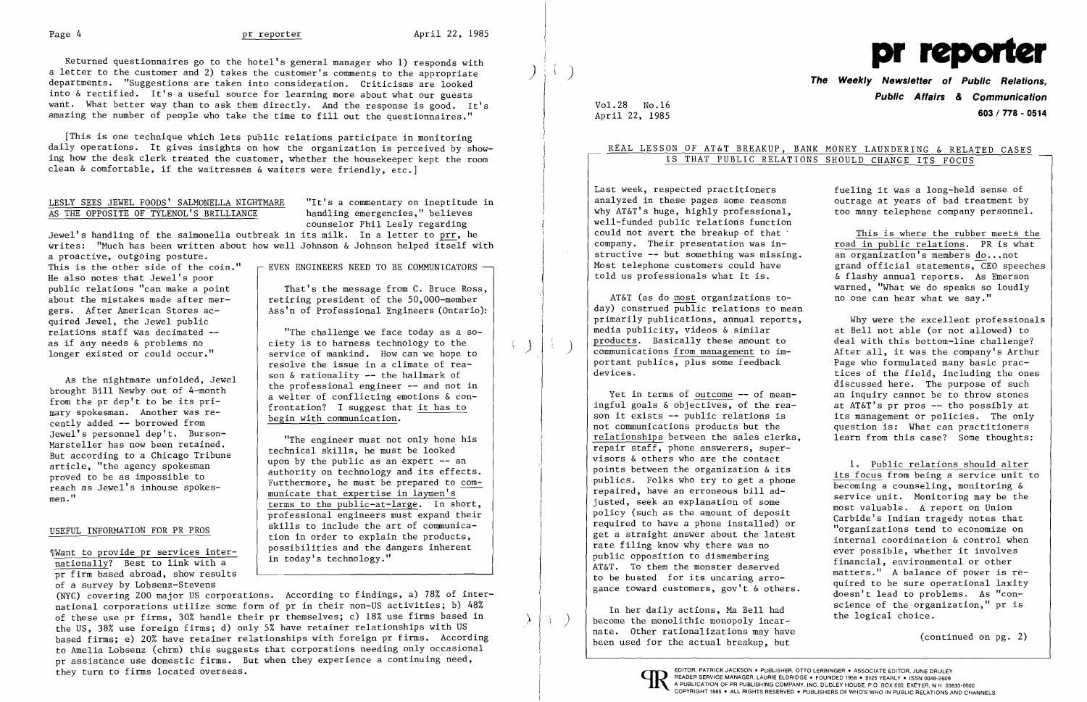[This is one technique which lets public relations participate in monitoring daily operations. It gives insights on how the organization is perceived by showing how the desk clerk treated the customer, whether the housekeeper kept the room clean  $\&$  comfortable, if the waitresses  $\&$  waiters were friendly, etc.]

# LESLY SEES JEWEL FOODS' SALMONELLA NIGHTMARE "It's a commentary on ineptitude in<br>AS THE OPPOSITE OF TYLENOL'S BRILLIANCE handling emergencies," believes AS THE OPPOSITE OF TYLENOL'S BRILLIANCE

Returned questionnaires go to the hotel's general manager who 1) responds with a letter to the customer and 2) takes the customer's comments to the appropriate departments. "Suggestions are taken into consideration. Criticisms are looked into & rectified. It's a useful source for learning more about what our guests want. What better way than to ask them directly. And the response is good. It's amazing the number of people who take the time to fill out the questionnaires."

Jewel's handling of the salmonella outbreak in its milk. In a letter to prr, he writes: "Much has been written about how well Johnson & Johnson helped itself with

a proactive, outgoing posture.<br>This is the other side of the coin." He also notes that Jewel's poor<br>public relations "can make a point quired Jewel, the Jewel public<br>relations staff was decimated --

mary spokesman. Another was re-<br>cently added -- borrowed from<br>Jewel's personnel dep't. Burson-

counselor Phil Lesly regarding

pr firm based abroad, show results of a survey by Lobsenz-Stevens

EVEN ENGINEERS NEED TO BE COMMUNICATORS  $-$ 

That's the message from C. Bruce Ross, about the mistakes made after mer-<br>
gers. After American Stores ac-<br>
Ass'n of Professional Engineers (Ontario) Ass'n of Professional Engineers (Ontario):

relations staff was decimated  $\left.\begin{matrix} -2 \\ -2 \\ -2 \end{matrix}\right|$  . The challenge we face today as a so-<br>as if any needs & problems no as if any needs & problems no eiety is to harness technology to the longer existed or could occur." service of mankind. How can we hope to resolve the issue in a climate of rea-<br>son  $\&$  rationality -- the hallmark of As the nightmare unfolded, Jewel  $\begin{array}{c|c} \text{son } \alpha \text{ rationality } \text{-} \text{ the not infinite or } \text{ inequality } \text{ or } \text{ the not infinite or } \text{ the not infinite or } \text{ the second end.} \end{array}$ frontation? I suggest that it has to begin with communication.

Jewel's personnel dep't. Burson -<br>Marsteller has now been retained.<br>But according to a Chicago Tribune<br>whe must be looked upon by the public as an expert -- an But according to a Chicago Tribune<br>article, "the agency spokesman<br>proved to be as impossible to<br>reach as Jewel's inhouse spokes-<br>men."<br>municate that expertise in laymen's<br>terms to the public-at-large. In short, professional engineers must expand their USEFUL INFORMATION FOR PR PROS Skills to include the art of communica-<br>tion in order to explain the products, Want to provide pr services inter-<br>nationally? Best to link with a in today's technology."

(NYC) covering 200 major US corporations. According to findings, a) 78% of international corporations utilize some form of pr in their non-US activities; b) 48% of these use pr firms, 30% handle their pr themselves; c) 18% use firms based in the US, 38% use foreign firms; d) only 5% have retainer relationships with US based firms; e) 20% have retainer relationships with foreign pr firms. According to Amelia Lobsenz (chrm) this suggests that corporations needing only occasional pr assistance use domestic firms. But when they experience a continuing need, They turn to firms located overseas. The extent of the state of the state of the state of the state of the state of the state of the state of the state of the state of the state of the state of the state of the state of th

! )  $\Bigg\}$   $\Bigg\}$  )

# REAL LESSON OF AT&T BREAKUP, BANK MONEY LAUNDERING & RELATED CASES IS THAT PUBLIC RELATIONS SHOULD CHANGE ITS FOCUS

Last week, respected practitioners fueling it was a long-held sense of analyzed in these pages some reasons outrage at vears of bad treatment by analyzed in these pages some reasons outrage at years of bad treatment by<br>why AT&T's huge, highly professional. The too many telephone company personnel. well-funded public relations function could not avert the breakup of that<br>
company. Their presentation was in-<br>
road in public relations. PR is what structive -- but something was missing.<br>Most telephone customers could have

AT&T (as do most organizations today) construed public relations to mean primarily publications, annual reports, Why were the excellent professionals<br>media publicity, videos & similar at Bell not able (or not allowed) to media publicity, videos & similar at Bell not able (or not allowed) to<br>products. Basically these amount to a deal with this bottom-line challenge? communications <u>from management</u> to im-<br>
portant publics, plus some feedback<br>
Page who formulated many basic pracportant publics, plus some feedback<br>devices.

ingful goals & objectives, of the rea- at AT&T's pr pros -- tho possibly at<br>son it exists -- public relations is an its management or policies. The only son it exists -- public relations is its management or policies. The only<br>not communications products but the question is: What can practitioners relationships between the sales clerks, learn from this case? Some thoughts: repair staff, phone answerers, super-<br>visors  $\&$  others who are the contact visors & others who are the contact<br>points between the organization & its<br>publics. Folks who try to get a phone<br>repaired, have an erroneous bill ad-<br>justed, seek an explanation of some<br>meat valueble. A monot on Union yusted, seek an explanation of some most valuable. A report on Union<br>policy (such as the amount of deposit<br>required to have a phone installed) or  $\begin{array}{l}$  Carbide's Indian tragedy notes that<br>get a straight answer about th

nate. Other rationalizations may have (continued on pg. 2) been used for the actual breakup, but

*')1* 



**The Weekly Newsletter of Public Relations, Public Affairs** *&* **Communication**  April 22~ 1985 **603 / 778 - 0514** 

too many telephone company personnel.

road in public relations. PR is what<br>an organization's members do...not Most telephone customers could have  $\begin{array}{ccc} \text{grad} \text{ of } \text{f } \text{icial} \text{ statements} \end{array}$  CEO speeches told us professionals what it is.  $\begin{array}{ccc} \text{for } \text{f } \text{d } \text{s} \end{array}$ & flashy annual reports. As Emerson warned, "What we do speaks so loudly<br>no one can hear what we sav."

deal with this bottom-line challenge?<br>After all, it was the company's Arthur tices of the field, including the ones discussed here. The purpose of such Yet in terms of outcome  $--$  of mean $-$  an inquiry cannot be to throw stones question is: What can practitioners

rate filing know why there was no<br>public opposition to dismembering<br>AT&T. To them the monster deserved<br>to be busted for its uncaring arro-<br>gance toward customers, gov't & others. The quired to be sure operational laxity<br>do gance toward customers, gov t a others.<br>In her daily actions, Ma Bell had science of the organization," pr is<br>become the monolithic monopoly incar-<br>the logical choice.

Vol. 28 No.16

) )

 $\left\{ \begin{array}{c} \end{array} \right\}$